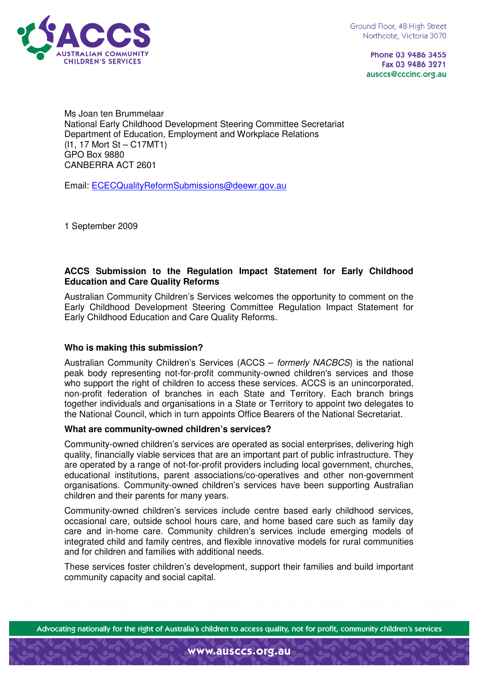

Phone 03 9486 3455 Fax 03 9486 3271 ausccs@cccinc.org.au

Ms Joan ten Brummelaar National Early Childhood Development Steering Committee Secretariat Department of Education, Employment and Workplace Relations (l1, 17 Mort St – C17MT1) GPO Box 9880 CANBERRA ACT 2601

Email: ECECQualityReformSubmissions@deewr.gov.au

1 September 2009

### **ACCS Submission to the Regulation Impact Statement for Early Childhood Education and Care Quality Reforms**

Australian Community Children's Services welcomes the opportunity to comment on the Early Childhood Development Steering Committee Regulation Impact Statement for Early Childhood Education and Care Quality Reforms.

## **Who is making this submission?**

Australian Community Children's Services (ACCS – formerly NACBCS) is the national peak body representing not-for-profit community-owned children's services and those who support the right of children to access these services. ACCS is an unincorporated, non-profit federation of branches in each State and Territory. Each branch brings together individuals and organisations in a State or Territory to appoint two delegates to the National Council, which in turn appoints Office Bearers of the National Secretariat.

#### **What are community-owned children's services?**

Community-owned children's services are operated as social enterprises, delivering high quality, financially viable services that are an important part of public infrastructure. They are operated by a range of not-for-profit providers including local government, churches, educational institutions, parent associations/co-operatives and other non-government organisations. Community-owned children's services have been supporting Australian children and their parents for many years.

Community-owned children's services include centre based early childhood services, occasional care, outside school hours care, and home based care such as family day care and in-home care. Community children's services include emerging models of integrated child and family centres, and flexible innovative models for rural communities and for children and families with additional needs.

These services foster children's development, support their families and build important community capacity and social capital.

Advocating nationally for the right of Australia's children to access quality, not for profit, community children's services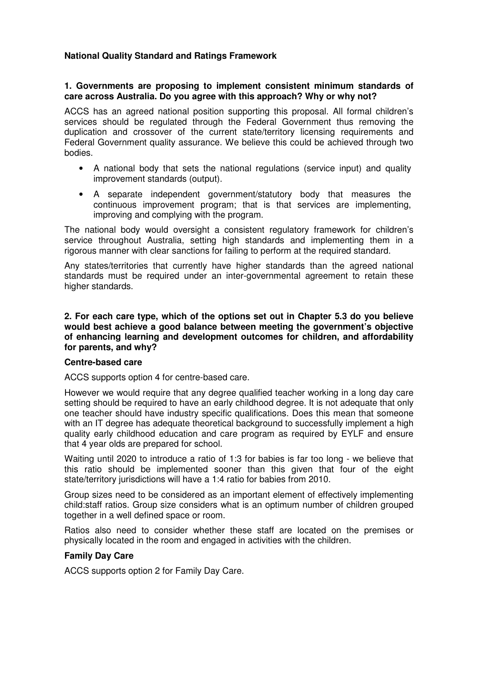# **National Quality Standard and Ratings Framework**

### **1. Governments are proposing to implement consistent minimum standards of care across Australia. Do you agree with this approach? Why or why not?**

ACCS has an agreed national position supporting this proposal. All formal children's services should be regulated through the Federal Government thus removing the duplication and crossover of the current state/territory licensing requirements and Federal Government quality assurance. We believe this could be achieved through two bodies.

- A national body that sets the national regulations (service input) and quality improvement standards (output).
- A separate independent government/statutory body that measures the continuous improvement program; that is that services are implementing, improving and complying with the program.

The national body would oversight a consistent regulatory framework for children's service throughout Australia, setting high standards and implementing them in a rigorous manner with clear sanctions for failing to perform at the required standard.

Any states/territories that currently have higher standards than the agreed national standards must be required under an inter-governmental agreement to retain these higher standards.

**2. For each care type, which of the options set out in Chapter 5.3 do you believe would best achieve a good balance between meeting the government's objective of enhancing learning and development outcomes for children, and affordability for parents, and why?** 

#### **Centre-based care**

ACCS supports option 4 for centre-based care.

However we would require that any degree qualified teacher working in a long day care setting should be required to have an early childhood degree. It is not adequate that only one teacher should have industry specific qualifications. Does this mean that someone with an IT degree has adequate theoretical background to successfully implement a high quality early childhood education and care program as required by EYLF and ensure that 4 year olds are prepared for school.

Waiting until 2020 to introduce a ratio of 1:3 for babies is far too long - we believe that this ratio should be implemented sooner than this given that four of the eight state/territory jurisdictions will have a 1:4 ratio for babies from 2010.

Group sizes need to be considered as an important element of effectively implementing child:staff ratios. Group size considers what is an optimum number of children grouped together in a well defined space or room.

Ratios also need to consider whether these staff are located on the premises or physically located in the room and engaged in activities with the children.

## **Family Day Care**

ACCS supports option 2 for Family Day Care.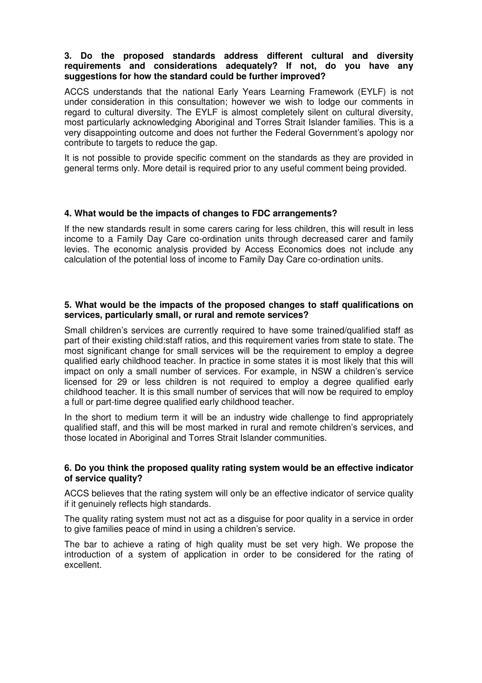### **3. Do the proposed standards address different cultural and diversity requirements and considerations adequately? If not, do you have any suggestions for how the standard could be further improved?**

ACCS understands that the national Early Years Learning Framework (EYLF) is not under consideration in this consultation; however we wish to lodge our comments in regard to cultural diversity. The EYLF is almost completely silent on cultural diversity, most particularly acknowledging Aboriginal and Torres Strait Islander families. This is a very disappointing outcome and does not further the Federal Government's apology nor contribute to targets to reduce the gap.

It is not possible to provide specific comment on the standards as they are provided in general terms only. More detail is required prior to any useful comment being provided.

### **4. What would be the impacts of changes to FDC arrangements?**

If the new standards result in some carers caring for less children, this will result in less income to a Family Day Care co-ordination units through decreased carer and family levies. The economic analysis provided by Access Economics does not include any calculation of the potential loss of income to Family Day Care co-ordination units.

### **5. What would be the impacts of the proposed changes to staff qualifications on services, particularly small, or rural and remote services?**

Small children's services are currently required to have some trained/qualified staff as part of their existing child:staff ratios, and this requirement varies from state to state. The most significant change for small services will be the requirement to employ a degree qualified early childhood teacher. In practice in some states it is most likely that this will impact on only a small number of services. For example, in NSW a children's service licensed for 29 or less children is not required to employ a degree qualified early childhood teacher. It is this small number of services that will now be required to employ a full or part-time degree qualified early childhood teacher.

In the short to medium term it will be an industry wide challenge to find appropriately qualified staff, and this will be most marked in rural and remote children's services, and those located in Aboriginal and Torres Strait Islander communities.

### **6. Do you think the proposed quality rating system would be an effective indicator of service quality?**

ACCS believes that the rating system will only be an effective indicator of service quality if it genuinely reflects high standards.

The quality rating system must not act as a disguise for poor quality in a service in order to give families peace of mind in using a children's service.

The bar to achieve a rating of high quality must be set very high. We propose the introduction of a system of application in order to be considered for the rating of excellent.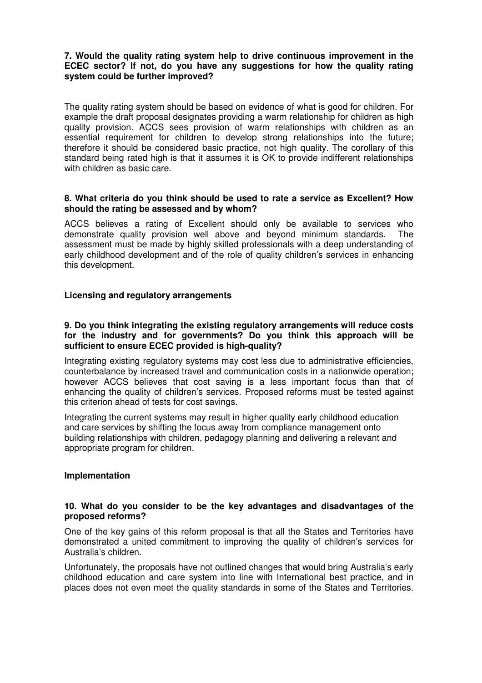## **7. Would the quality rating system help to drive continuous improvement in the ECEC sector? If not, do you have any suggestions for how the quality rating system could be further improved?**

The quality rating system should be based on evidence of what is good for children. For example the draft proposal designates providing a warm relationship for children as high quality provision. ACCS sees provision of warm relationships with children as an essential requirement for children to develop strong relationships into the future; therefore it should be considered basic practice, not high quality. The corollary of this standard being rated high is that it assumes it is OK to provide indifferent relationships with children as basic care.

### **8. What criteria do you think should be used to rate a service as Excellent? How should the rating be assessed and by whom?**

ACCS believes a rating of Excellent should only be available to services who demonstrate quality provision well above and beyond minimum standards. The assessment must be made by highly skilled professionals with a deep understanding of early childhood development and of the role of quality children's services in enhancing this development.

# **Licensing and regulatory arrangements**

#### **9. Do you think integrating the existing regulatory arrangements will reduce costs for the industry and for governments? Do you think this approach will be sufficient to ensure ECEC provided is high-quality?**

Integrating existing regulatory systems may cost less due to administrative efficiencies, counterbalance by increased travel and communication costs in a nationwide operation; however ACCS believes that cost saving is a less important focus than that of enhancing the quality of children's services. Proposed reforms must be tested against this criterion ahead of tests for cost savings.

Integrating the current systems may result in higher quality early childhood education and care services by shifting the focus away from compliance management onto building relationships with children, pedagogy planning and delivering a relevant and appropriate program for children.

#### **Implementation**

#### **10. What do you consider to be the key advantages and disadvantages of the proposed reforms?**

One of the key gains of this reform proposal is that all the States and Territories have demonstrated a united commitment to improving the quality of children's services for Australia's children.

Unfortunately, the proposals have not outlined changes that would bring Australia's early childhood education and care system into line with International best practice, and in places does not even meet the quality standards in some of the States and Territories.